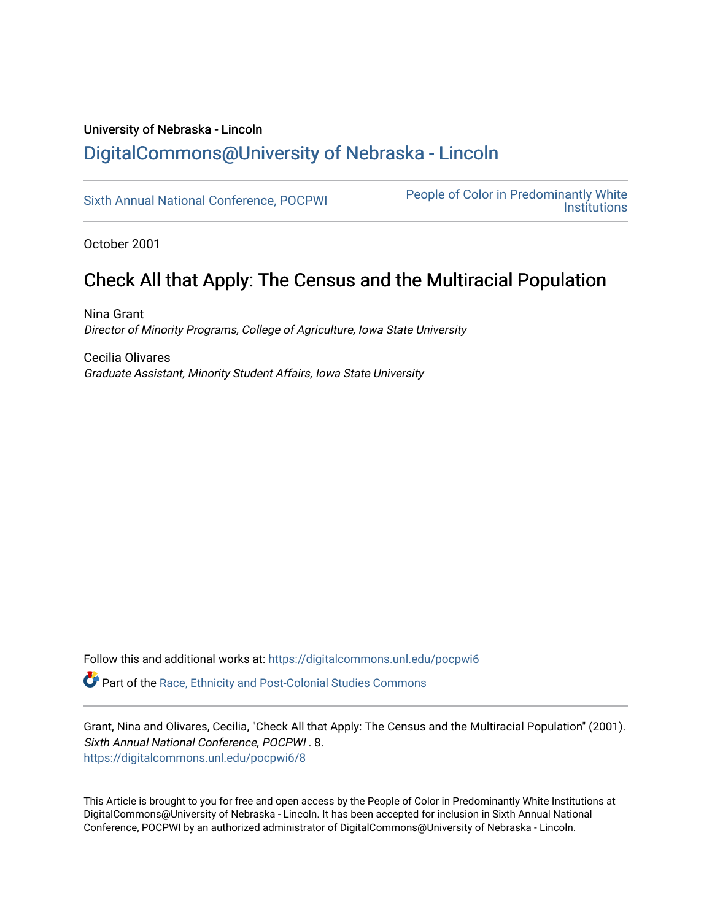### University of Nebraska - Lincoln [DigitalCommons@University of Nebraska - Lincoln](https://digitalcommons.unl.edu/)

[Sixth Annual National Conference, POCPWI](https://digitalcommons.unl.edu/pocpwi6) People of Color in Predominantly White **Institutions** 

October 2001

## Check All that Apply: The Census and the Multiracial Population

Nina Grant Director of Minority Programs, College of Agriculture, Iowa State University

Cecilia Olivares Graduate Assistant, Minority Student Affairs, Iowa State University

Follow this and additional works at: [https://digitalcommons.unl.edu/pocpwi6](https://digitalcommons.unl.edu/pocpwi6?utm_source=digitalcommons.unl.edu%2Fpocpwi6%2F8&utm_medium=PDF&utm_campaign=PDFCoverPages)

Part of the [Race, Ethnicity and Post-Colonial Studies Commons](http://network.bepress.com/hgg/discipline/566?utm_source=digitalcommons.unl.edu%2Fpocpwi6%2F8&utm_medium=PDF&utm_campaign=PDFCoverPages) 

Grant, Nina and Olivares, Cecilia, "Check All that Apply: The Census and the Multiracial Population" (2001). Sixth Annual National Conference, POCPWI . 8. [https://digitalcommons.unl.edu/pocpwi6/8](https://digitalcommons.unl.edu/pocpwi6/8?utm_source=digitalcommons.unl.edu%2Fpocpwi6%2F8&utm_medium=PDF&utm_campaign=PDFCoverPages)

This Article is brought to you for free and open access by the People of Color in Predominantly White Institutions at DigitalCommons@University of Nebraska - Lincoln. It has been accepted for inclusion in Sixth Annual National Conference, POCPWI by an authorized administrator of DigitalCommons@University of Nebraska - Lincoln.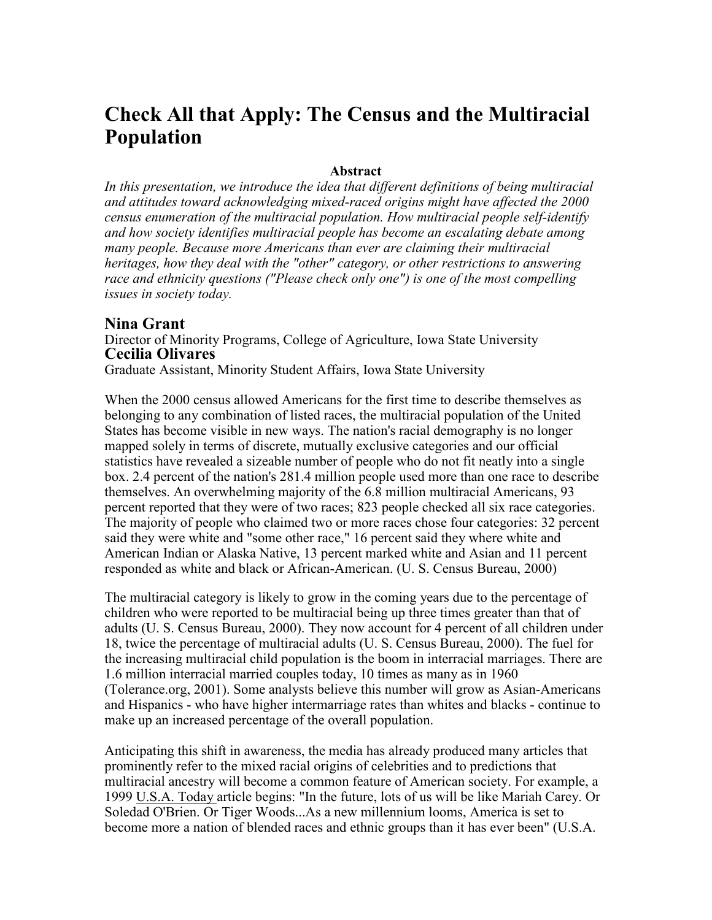# **Check All that Apply: The Census and the Multiracial Population**

#### **Abstract**

In this presentation, we introduce the idea that different definitions of being multiracial *and attitudes toward acknowledging mixed-raced origins might have affected the 2000 census enumeration of the multiracial population. How multiracial people self-identify and how society identifies multiracial people has become an escalating debate among many people. Because more Americans than ever are claiming their multiracial heritages, how they deal with the "other" category, or other restrictions to answering race and ethnicity questions ("Please check only one") is one of the most compelling issues in society today.* 

#### **Nina Grant**

Director of Minority Programs, College of Agriculture, Iowa State University **Cecilia Olivares**

Graduate Assistant, Minority Student Affairs, Iowa State University

When the 2000 census allowed Americans for the first time to describe themselves as belonging to any combination of listed races, the multiracial population of the United States has become visible in new ways. The nation's racial demography is no longer mapped solely in terms of discrete, mutually exclusive categories and our official statistics have revealed a sizeable number of people who do not fit neatly into a single box. 2.4 percent of the nation's 281.4 million people used more than one race to describe themselves. An overwhelming majority of the 6.8 million multiracial Americans, 93 percent reported that they were of two races; 823 people checked all six race categories. The majority of people who claimed two or more races chose four categories: 32 percent said they were white and "some other race," 16 percent said they where white and American Indian or Alaska Native, 13 percent marked white and Asian and 11 percent responded as white and black or African-American. (U. S. Census Bureau, 2000)

The multiracial category is likely to grow in the coming years due to the percentage of children who were reported to be multiracial being up three times greater than that of adults (U. S. Census Bureau, 2000). They now account for 4 percent of all children under 18, twice the percentage of multiracial adults (U. S. Census Bureau, 2000). The fuel for the increasing multiracial child population is the boom in interracial marriages. There are 1.6 million interracial married couples today, 10 times as many as in 1960 (Tolerance.org, 2001). Some analysts believe this number will grow as Asian-Americans and Hispanics - who have higher intermarriage rates than whites and blacks - continue to make up an increased percentage of the overall population.

Anticipating this shift in awareness, the media has already produced many articles that prominently refer to the mixed racial origins of celebrities and to predictions that multiracial ancestry will become a common feature of American society. For example, a 1999 U.S.A. Today article begins: "In the future, lots of us will be like Mariah Carey. Or Soledad O'Brien. Or Tiger Woods...As a new millennium looms, America is set to become more a nation of blended races and ethnic groups than it has ever been" (U.S.A.